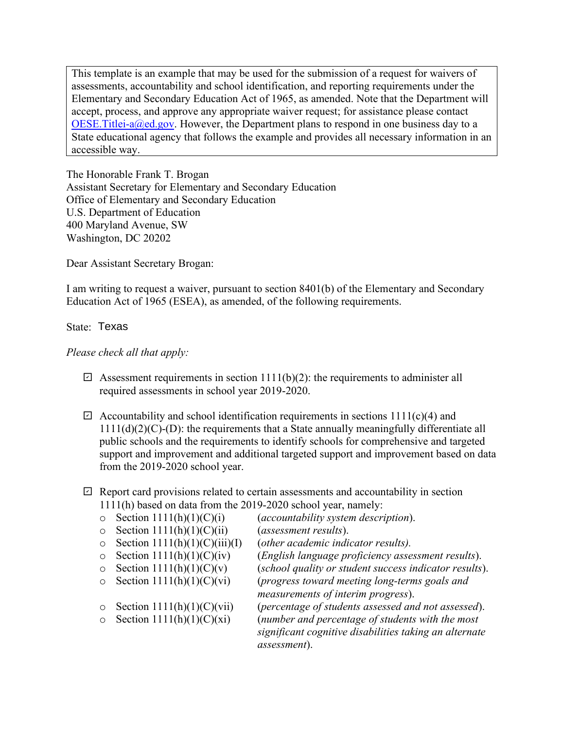This template is an example that may be used for the submission of a request for waivers of assessments, accountability and school identification, and reporting requirements under the Elementary and Secondary Education Act of 1965, as amended. Note that the Department will accept, process, and approve any appropriate waiver request; for assistance please contact OESE. Titlei-a@ed.gov. However, the Department plans to respond in one business day to a State educational agency that follows the example and provides all necessary information in an accessible way.

The Honorable Frank T. Brogan Assistant Secretary for Elementary and Secondary Education Office of Elementary and Secondary Education U.S. Department of Education 400 Maryland Avenue, SW Washington, DC 20202

Dear Assistant Secretary Brogan:

I am writing to request a waiver, pursuant to section 8401(b) of the Elementary and Secondary Education Act of 1965 (ESEA), as amended, of the following requirements.

## State: Texas

## *Please check all that apply:*

- $\boxdot$  Assessment requirements in section 1111(b)(2): the requirements to administer all required assessments in school year 2019-2020.
- $\boxdot$  Accountability and school identification requirements in sections 1111(c)(4) and  $1111(d)(2)(C)$ -(D): the requirements that a State annually meaningfully differentiate all public schools and the requirements to identify schools for comprehensive and targeted support and improvement and additional targeted support and improvement based on data from the 2019-2020 school year.
- $\boxdot$  Report card provisions related to certain assessments and accountability in section 1111(h) based on data from the 2019-2020 school year, namely:
	-
- 
- o Section 1111(h)(1)(C)(ii) (*assessment results*).
- o Section  $1111(h)(1)(C)(iii)(I)$ <br>
o Section  $1111(h)(1)(C)(iv)$
- 
- 
- 
- 
- 
- $\circ$  Section 1111(h)(1)(C)(i) (*accountability system description*).<br>  $\circ$  Section 1111(h)(1)(C)(ii) (*assessment results*).
	-
	-
- o Section 1111(h)(1)(C)(iv) (*English language proficiency assessment results*).
	- (school quality or student success indicator results).
- o Section 1111(h)(1)(C)(vi) (*progress toward meeting long-terms goals and measurements of interim progress*).
- o Section  $1111(h)(1)(C)(vi)$  (*percentage of students assessed and not assessed*).<br>  $\circ$  Section  $1111(h)(1)(C)(xi)$  (*number and percentage of students with the most* (number and percentage of students with the most *significant cognitive disabilities taking an alternate assessment*).